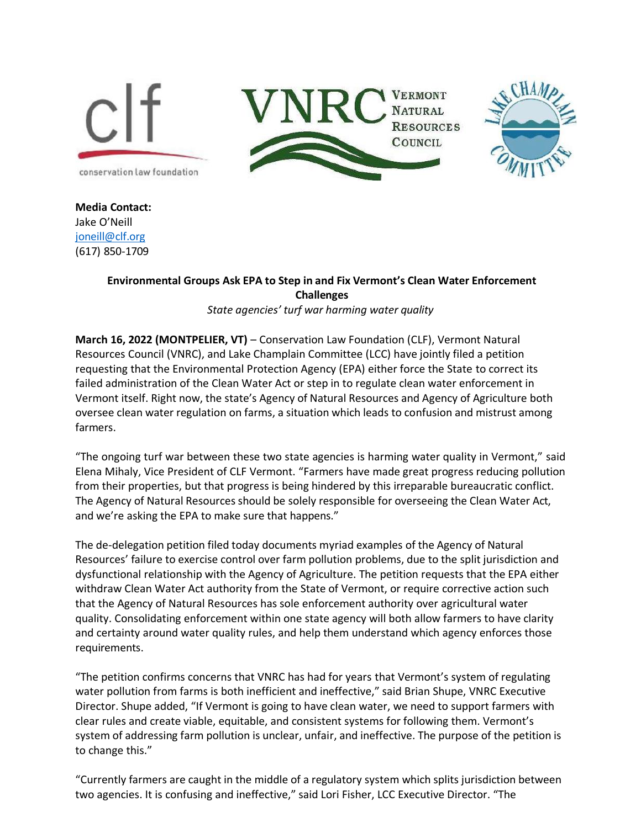





**Media Contact:** Jake O'Neill [joneill@clf.org](mailto:joneill@clf.org) (617) 850-1709

## **Environmental Groups Ask EPA to Step in and Fix Vermont's Clean Water Enforcement Challenges**

*State agencies' turf war harming water quality*

**March 16, 2022 (MONTPELIER, VT)** – Conservation Law Foundation (CLF), Vermont Natural Resources Council (VNRC), and Lake Champlain Committee (LCC) have jointly filed a petition requesting that the Environmental Protection Agency (EPA) either force the State to correct its failed administration of the Clean Water Act or step in to regulate clean water enforcement in Vermont itself. Right now, the state's Agency of Natural Resources and Agency of Agriculture both oversee clean water regulation on farms, a situation which leads to confusion and mistrust among farmers.

"The ongoing turf war between these two state agencies is harming water quality in Vermont," said Elena Mihaly, Vice President of CLF Vermont. "Farmers have made great progress reducing pollution from their properties, but that progress is being hindered by this irreparable bureaucratic conflict. The Agency of Natural Resources should be solely responsible for overseeing the Clean Water Act, and we're asking the EPA to make sure that happens."

The de-delegation petition filed today documents myriad examples of the Agency of Natural Resources' failure to exercise control over farm pollution problems, due to the split jurisdiction and dysfunctional relationship with the Agency of Agriculture. The petition requests that the EPA either withdraw Clean Water Act authority from the State of Vermont, or require corrective action such that the Agency of Natural Resources has sole enforcement authority over agricultural water quality. Consolidating enforcement within one state agency will both allow farmers to have clarity and certainty around water quality rules, and help them understand which agency enforces those requirements.

"The petition confirms concerns that VNRC has had for years that Vermont's system of regulating water pollution from farms is both inefficient and ineffective," said Brian Shupe, VNRC Executive Director. Shupe added, "If Vermont is going to have clean water, we need to support farmers with clear rules and create viable, equitable, and consistent systems for following them. Vermont's system of addressing farm pollution is unclear, unfair, and ineffective. The purpose of the petition is to change this."

"Currently farmers are caught in the middle of a regulatory system which splits jurisdiction between two agencies. It is confusing and ineffective," said Lori Fisher, LCC Executive Director. "The